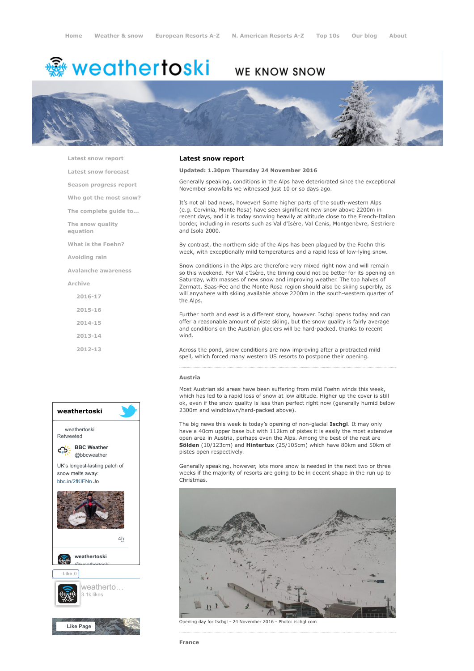# <del>鑾</del> weathertoski

# WE KNOW SNOW



[Latest snow report](https://www.weathertoski.co.uk/weather-snow/latest-snow-report/)

[Latest snow forecast](https://www.weathertoski.co.uk/weather-snow/latest-snow-forecast/)

[Season progress report](https://www.weathertoski.co.uk/weather-snow/season-progress-report/)

[Who got the most snow?](https://www.weathertoski.co.uk/weather-snow/who-got-the-most-snow/)

[The complete guide to...](https://www.weathertoski.co.uk/weather-snow/the-complete-guide-to/)

[The snow quality](https://www.weathertoski.co.uk/weather-snow/the-snow-quality-equation/)

[What is the Foehn?](https://www.weathertoski.co.uk/weather-snow/what-is-the-foehn/)

[Avoiding rain](https://www.weathertoski.co.uk/weather-snow/avoiding-rain/)

equation

[Avalanche awareness](https://www.weathertoski.co.uk/weather-snow/avalanche-awareness/)

[Archive](https://www.weathertoski.co.uk/weather-snow/archive/)

- [2016-17](https://www.weathertoski.co.uk/weather-snow/archive/2016-17/) [2015-16](https://www.weathertoski.co.uk/weather-snow/archive/2015-16/)
- [2014-15](https://www.weathertoski.co.uk/weather-snow/archive/2014-15/)
- [2013-14](https://www.weathertoski.co.uk/weather-snow/archive/2013-14/)

[2012-13](https://www.weathertoski.co.uk/weather-snow/archive/2012-13/)



# Latest snow report

# Updated: 1.30pm Thursday 24 November 2016

Generally speaking, conditions in the Alps have deteriorated since the exceptional November snowfalls we witnessed just 10 or so days ago.

It's not all bad news, however! Some higher parts of the south-western Alps (e.g. Cervinia, Monte Rosa) have seen significant new snow above 2200m in recent days, and it is today snowing heavily at altitude close to the French-Italian border, including in resorts such as Val d'Isère, Val Cenis, Montgenèvre, Sestriere and Isola 2000.

By contrast, the northern side of the Alps has been plagued by the Foehn this week, with exceptionally mild temperatures and a rapid loss of low-lying snow.

Snow conditions in the Alps are therefore very mixed right now and will remain so this weekend. For Val d'Isère, the timing could not be better for its opening on Saturday, with masses of new snow and improving weather. The top halves of Zermatt, Saas-Fee and the Monte Rosa region should also be skiing superbly, as will anywhere with skiing available above 2200m in the south-western quarter of the Alps.

Further north and east is a different story, however. Ischgl opens today and can offer a reasonable amount of piste skiing, but the snow quality is fairly average and conditions on the Austrian glaciers will be hard-packed, thanks to recent wind.

Across the pond, snow conditions are now improving after a protracted mild spell, which forced many western US resorts to postpone their opening.

#### Austria

Most Austrian ski areas have been suffering from mild Foehn winds this week, which has led to a rapid loss of snow at low altitude. Higher up the cover is still ok, even if the snow quality is less than perfect right now (generally humid below 2300m and windblown/hard-packed above).

The big news this week is today's opening of non-glacial **Ischgl**. It may only have a 40cm upper base but with 112km of pistes it is easily the most extensive open area in Austria, perhaps even the Alps. Among the best of the rest are Sölden (10/123cm) and Hintertux (25/105cm) which have 80km and 50km of pistes open respectively.

Generally speaking, however, lots more snow is needed in the next two or three weeks if the majority of resorts are going to be in decent shape in the run up to Christmas.



Opening day for Ischgl - 24 November 2016 - Photo: ischgl.com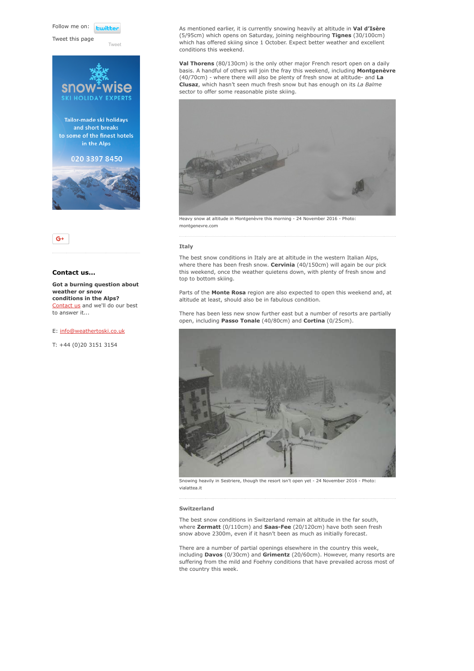Follow me on: **Luitt** 

Tweet this page

[Tweet](https://twitter.com/intent/tweet?original_referer=https%3A%2F%2Fwww.weathertoski.co.uk%2Fweather-snow%2Farchive%2Fsnow-report-24-11-2016%2F&ref_src=twsrc%5Etfw&text=Weather%20to%20ski%20-%20Snow%20report%20-%2024%20November%202016&tw_p=tweetbutton&url=https%3A%2F%2Fwww.weathertoski.co.uk%2Fweather-snow%2Farchive%2Fsnow-report-24-11-2016%2F)







# Contact us...

Got a burning question about weather or snow conditions in the Alps? [Contact us](https://www.weathertoski.co.uk/about-1/contact-us/) and we'll do our best to answer it...

E: [info@weathertoski.co.uk](mailto:fraser@weathertoski.co.uk)

T: +44 (0)20 3151 3154

As mentioned earlier, it is currently snowing heavily at altitude in Val d'Isère (5/95cm) which opens on Saturday, joining neighbouring Tignes (30/100cm) which has offered skiing since 1 October. Expect better weather and excellent conditions this weekend.

Val Thorens (80/130cm) is the only other major French resort open on a daily basis. A handful of others will join the fray this weekend, including Montgenèvre (40/70cm) - where there will also be plenty of fresh snow at altitude- and La Clusaz, which hasn't seen much fresh snow but has enough on its La Balme sector to offer some reasonable piste skiing.



Heavy snow at altitude in Montgenèvre this morning - 24 November 2016 - Photo: montgenevre.com

### Italy

The best snow conditions in Italy are at altitude in the western Italian Alps, where there has been fresh snow. Cervinia (40/150cm) will again be our pick this weekend, once the weather quietens down, with plenty of fresh snow and top to bottom skiing.

Parts of the Monte Rosa region are also expected to open this weekend and, at altitude at least, should also be in fabulous condition.

There has been less new snow further east but a number of resorts are partially open, including Passo Tonale (40/80cm) and Cortina (0/25cm).



Snowing heavily in Sestriere, though the resort isn't open yet - 24 November 2016 - Photo: vialattea.it

## Switzerland

The best snow conditions in Switzerland remain at altitude in the far south, where Zermatt (0/110cm) and Saas-Fee (20/120cm) have both seen fresh snow above 2300m, even if it hasn't been as much as initially forecast.

There are a number of partial openings elsewhere in the country this week, including Davos (0/30cm) and Grimentz (20/60cm). However, many resorts are suffering from the mild and Foehny conditions that have prevailed across most of the country this week.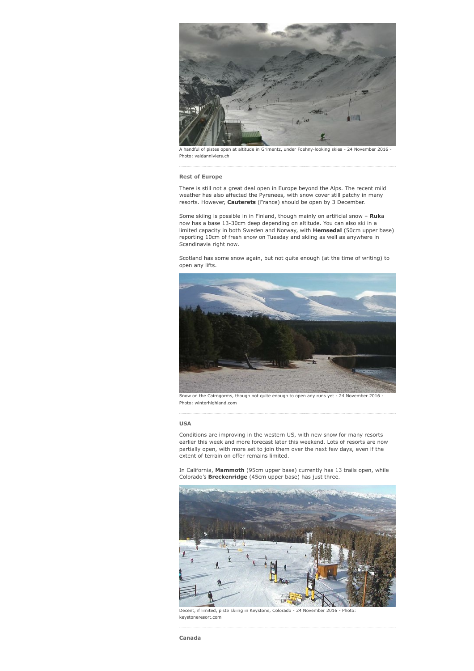

A handful of pistes open at altitude in Grimentz, under Foehny-looking skies - 24 November 2016 - Photo: valdanniviers.ch

# Rest of Europe

There is still not a great deal open in Europe beyond the Alps. The recent mild weather has also affected the Pyrenees, with snow cover still patchy in many resorts. However, **Cauterets** (France) should be open by 3 December.

Some skiing is possible in in Finland, though mainly on artificial snow - Ruka now has a base 13-30cm deep depending on altitude. You can also ski in a limited capacity in both Sweden and Norway, with Hemsedal (50cm upper base) reporting 10cm of fresh snow on Tuesday and skiing as well as anywhere in Scandinavia right now.

Scotland has some snow again, but not quite enough (at the time of writing) to open any lifts.



Photo: winterhighland.com

# USA

Conditions are improving in the western US, with new snow for many resorts earlier this week and more forecast later this weekend. Lots of resorts are now partially open, with more set to join them over the next few days, even if the extent of terrain on offer remains limited.

In California, Mammoth (95cm upper base) currently has 13 trails open, while Colorado's Breckenridge (45cm upper base) has just three.



Decent, if limited, piste skiing in Keystone, Colorado - 24 November 2016 - Photo: keystoneresort.com